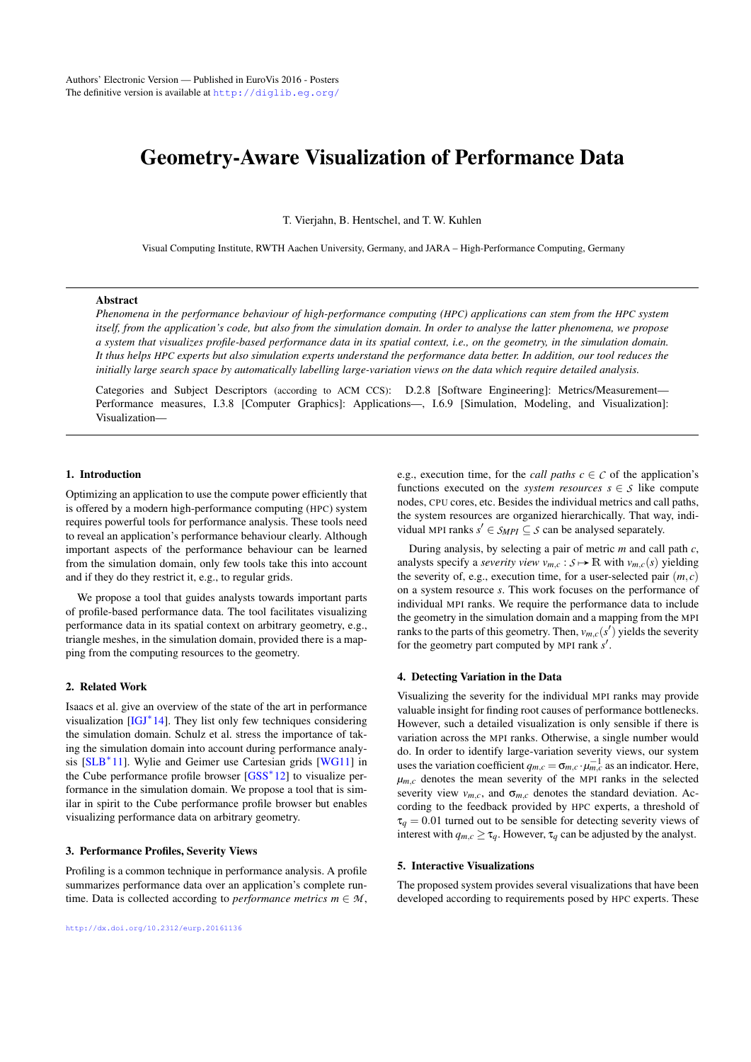# <span id="page-0-0"></span>Geometry-Aware Visualization of Performance Data

T. Vierjahn, B. Hentschel, and T. W. Kuhlen

Visual Computing Institute, RWTH Aachen University, Germany, and JARA – High-Performance Computing, Germany

#### Abstract

*Phenomena in the performance behaviour of high-performance computing (HPC) applications can stem from the HPC system itself, from the application's code, but also from the simulation domain. In order to analyse the latter phenomena, we propose a system that visualizes profile-based performance data in its spatial context, i.e., on the geometry, in the simulation domain. It thus helps HPC experts but also simulation experts understand the performance data better. In addition, our tool reduces the initially large search space by automatically labelling large-variation views on the data which require detailed analysis.*

Categories and Subject Descriptors (according to ACM CCS): D.2.8 [Software Engineering]: Metrics/Measurement— Performance measures, I.3.8 [Computer Graphics]: Applications—, I.6.9 [Simulation, Modeling, and Visualization]: Visualization—

# 1. Introduction

Optimizing an application to use the compute power efficiently that is offered by a modern high-performance computing (HPC) system requires powerful tools for performance analysis. These tools need to reveal an application's performance behaviour clearly. Although important aspects of the performance behaviour can be learned from the simulation domain, only few tools take this into account and if they do they restrict it, e.g., to regular grids.

We propose a tool that guides analysts towards important parts of profile-based performance data. The tool facilitates visualizing performance data in its spatial context on arbitrary geometry, e.g., triangle meshes, in the simulation domain, provided there is a mapping from the computing resources to the geometry.

## 2. Related Work

Isaacs et al. give an overview of the state of the art in performance visualization [\[IGJ](#page-2-0)<sup>\*</sup>14]. They list only few techniques considering the simulation domain. Schulz et al. stress the importance of taking the simulation domain into account during performance analy-sis [\[SLB](#page-2-1)<sup>\*</sup>11]. Wylie and Geimer use Cartesian grids [\[WG11\]](#page-2-2) in the Cube performance profile browser [\[GSS](#page-2-3)<sup>∗</sup> 12] to visualize performance in the simulation domain. We propose a tool that is similar in spirit to the Cube performance profile browser but enables visualizing performance data on arbitrary geometry.

#### 3. Performance Profiles, Severity Views

Profiling is a common technique in performance analysis. A profile summarizes performance data over an application's complete runtime. Data is collected according to *performance metrics*  $m \in M$ , e.g., execution time, for the *call paths*  $c \in \mathcal{C}$  of the application's functions executed on the *system resources*  $s \in S$  like compute nodes, CPU cores, etc. Besides the individual metrics and call paths, the system resources are organized hierarchically. That way, individual MPI ranks  $s' \in S_{MPI} \subseteq S$  can be analysed separately.

During analysis, by selecting a pair of metric *m* and call path *c*, analysts specify a *severity view*  $v_{m,c}: S \mapsto \mathbb{R}$  with  $v_{m,c}(s)$  yielding the severity of, e.g., execution time, for a user-selected pair  $(m, c)$ on a system resource *s*. This work focuses on the performance of individual MPI ranks. We require the performance data to include the geometry in the simulation domain and a mapping from the MPI ranks to the parts of this geometry. Then,  $v_{m,c}(s')$  yields the severity for the geometry part computed by MPI rank s'.

#### 4. Detecting Variation in the Data

Visualizing the severity for the individual MPI ranks may provide valuable insight for finding root causes of performance bottlenecks. However, such a detailed visualization is only sensible if there is variation across the MPI ranks. Otherwise, a single number would do. In order to identify large-variation severity views, our system uses the variation coefficient  $q_{m,c} = \sigma_{m,c} \cdot \mu_{m,c}^{-1}$  as an indicator. Here,  $\mu_{m,c}$  denotes the mean severity of the MPI ranks in the selected severity view  $v_{m,c}$ , and  $\sigma_{m,c}$  denotes the standard deviation. According to the feedback provided by HPC experts, a threshold of  $\tau_q = 0.01$  turned out to be sensible for detecting severity views of interest with  $q_{m,c} \geq \tau_q$ . However,  $\tau_q$  can be adjusted by the analyst.

#### 5. Interactive Visualizations

The proposed system provides several visualizations that have been developed according to requirements posed by HPC experts. These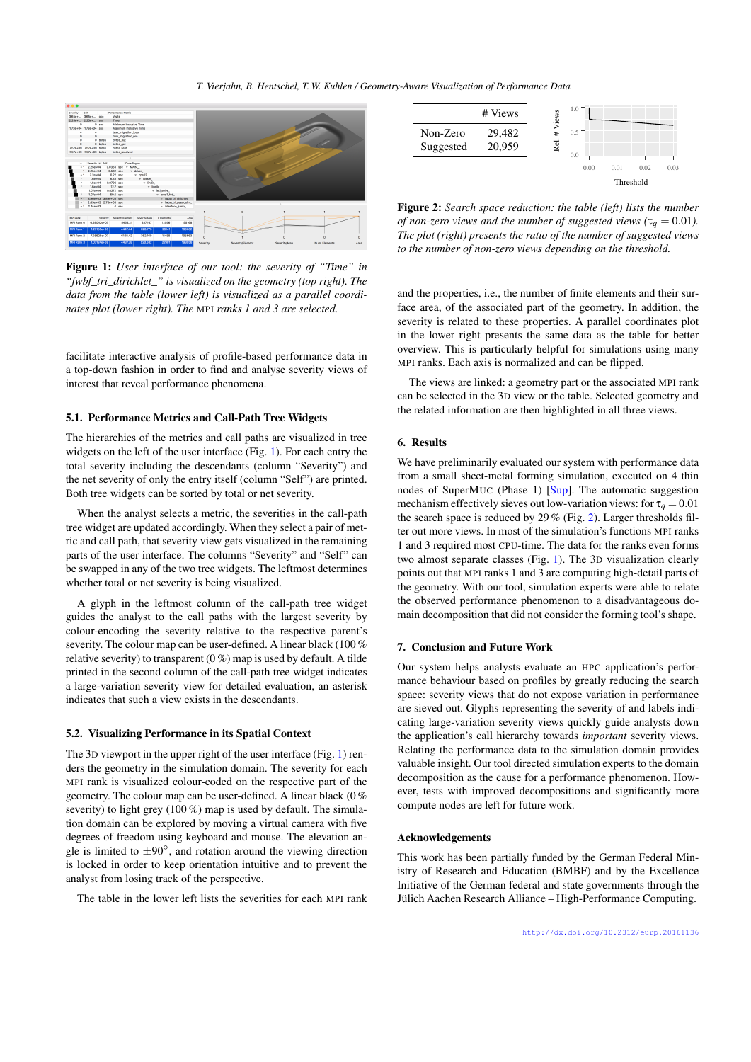<span id="page-1-2"></span>

Figure 1: *User interface of our tool: the severity of "Time" in "fwbf\_tri\_dirichlet\_" is visualized on the geometry (top right). The data from the table (lower left) is visualized as a parallel coordinates plot (lower right). The* MPI *ranks 1 and 3 are selected.*

<span id="page-1-0"></span>facilitate interactive analysis of profile-based performance data in a top-down fashion in order to find and analyse severity views of interest that reveal performance phenomena.

#### 5.1. Performance Metrics and Call-Path Tree Widgets

The hierarchies of the metrics and call paths are visualized in tree widgets on the left of the user interface (Fig. [1\)](#page-1-0). For each entry the total severity including the descendants (column "Severity") and the net severity of only the entry itself (column "Self") are printed. Both tree widgets can be sorted by total or net severity.

When the analyst selects a metric, the severities in the call-path tree widget are updated accordingly. When they select a pair of metric and call path, that severity view gets visualized in the remaining parts of the user interface. The columns "Severity" and "Self" can be swapped in any of the two tree widgets. The leftmost determines whether total or net severity is being visualized.

A glyph in the leftmost column of the call-path tree widget guides the analyst to the call paths with the largest severity by colour-encoding the severity relative to the respective parent's severity. The colour map can be user-defined. A linear black (100 % relative severity) to transparent  $(0\%)$  map is used by default. A tilde printed in the second column of the call-path tree widget indicates a large-variation severity view for detailed evaluation, an asterisk indicates that such a view exists in the descendants.

## 5.2. Visualizing Performance in its Spatial Context

The 3D viewport in the upper right of the user interface (Fig. [1\)](#page-1-0) renders the geometry in the simulation domain. The severity for each MPI rank is visualized colour-coded on the respective part of the geometry. The colour map can be user-defined. A linear black (0 % severity) to light grey (100 %) map is used by default. The simulation domain can be explored by moving a virtual camera with five degrees of freedom using keyboard and mouse. The elevation angle is limited to  $\pm 90^\circ$ , and rotation around the viewing direction is locked in order to keep orientation intuitive and to prevent the analyst from losing track of the perspective.

The table in the lower left lists the severities for each MPI rank



<span id="page-1-1"></span>Figure 2: *Search space reduction: the table (left) lists the number of non-zero views and the number of suggested views (* $\tau_q = 0.01$ ). *The plot (right) presents the ratio of the number of suggested views to the number of non-zero views depending on the threshold.*

and the properties, i.e., the number of finite elements and their surface area, of the associated part of the geometry. In addition, the severity is related to these properties. A parallel coordinates plot in the lower right presents the same data as the table for better overview. This is particularly helpful for simulations using many MPI ranks. Each axis is normalized and can be flipped.

The views are linked: a geometry part or the associated MPI rank can be selected in the 3D view or the table. Selected geometry and the related information are then highlighted in all three views.

#### 6. Results

We have preliminarily evaluated our system with performance data from a small sheet-metal forming simulation, executed on 4 thin nodes of SuperMUC (Phase 1) [\[Sup\]](#page-2-4). The automatic suggestion mechanism effectively sieves out low-variation views: for  $\tau_q = 0.01$ the search space is reduced by 29 % (Fig. [2\)](#page-1-1). Larger thresholds filter out more views. In most of the simulation's functions MPI ranks 1 and 3 required most CPU-time. The data for the ranks even forms two almost separate classes (Fig. [1\)](#page-1-0). The 3D visualization clearly points out that MPI ranks 1 and 3 are computing high-detail parts of the geometry. With our tool, simulation experts were able to relate the observed performance phenomenon to a disadvantageous domain decomposition that did not consider the forming tool's shape.

#### 7. Conclusion and Future Work

Our system helps analysts evaluate an HPC application's performance behaviour based on profiles by greatly reducing the search space: severity views that do not expose variation in performance are sieved out. Glyphs representing the severity of and labels indicating large-variation severity views quickly guide analysts down the application's call hierarchy towards *important* severity views. Relating the performance data to the simulation domain provides valuable insight. Our tool directed simulation experts to the domain decomposition as the cause for a performance phenomenon. However, tests with improved decompositions and significantly more compute nodes are left for future work.

#### Acknowledgements

This work has been partially funded by the German Federal Ministry of Research and Education (BMBF) and by the Excellence Initiative of the German federal and state governments through the Jülich Aachen Research Alliance – High-Performance Computing.